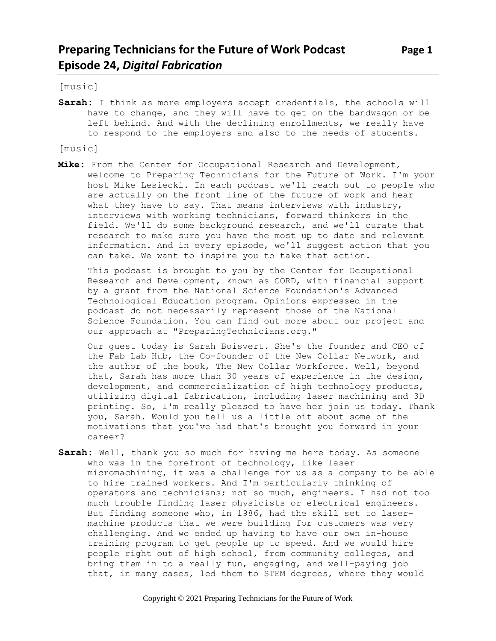[music]

Sarah: I think as more employers accept credentials, the schools will have to change, and they will have to get on the bandwagon or be left behind. And with the declining enrollments, we really have to respond to the employers and also to the needs of students.

[music]

**Mike:** From the Center for Occupational Research and Development, welcome to Preparing Technicians for the Future of Work. I'm your host Mike Lesiecki. In each podcast we'll reach out to people who are actually on the front line of the future of work and hear what they have to say. That means interviews with industry, interviews with working technicians, forward thinkers in the field. We'll do some background research, and we'll curate that research to make sure you have the most up to date and relevant information. And in every episode, we'll suggest action that you can take. We want to inspire you to take that action.

This podcast is brought to you by the Center for Occupational Research and Development, known as CORD, with financial support by a grant from the National Science Foundation's Advanced Technological Education program. Opinions expressed in the podcast do not necessarily represent those of the National Science Foundation. You can find out more about our project and our approach at "PreparingTechnicians.org."

Our guest today is Sarah Boisvert. She's the founder and CEO of the Fab Lab Hub, the Co-founder of the New Collar Network, and the author of the book, The New Collar Workforce. Well, beyond that, Sarah has more than 30 years of experience in the design, development, and commercialization of high technology products, utilizing digital fabrication, including laser machining and 3D printing. So, I'm really pleased to have her join us today. Thank you, Sarah. Would you tell us a little bit about some of the motivations that you've had that's brought you forward in your career?

**Sarah:** Well, thank you so much for having me here today. As someone who was in the forefront of technology, like laser micromachining, it was a challenge for us as a company to be able to hire trained workers. And I'm particularly thinking of operators and technicians; not so much, engineers. I had not too much trouble finding laser physicists or electrical engineers. But finding someone who, in 1986, had the skill set to lasermachine products that we were building for customers was very challenging. And we ended up having to have our own in-house training program to get people up to speed. And we would hire people right out of high school, from community colleges, and bring them in to a really fun, engaging, and well-paying job that, in many cases, led them to STEM degrees, where they would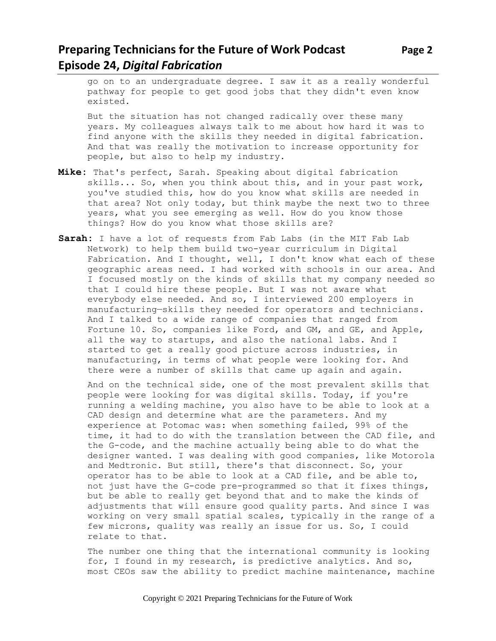# **Preparing Technicians for the Future of Work Podcast Page 2 Episode 24,** *Digital Fabrication*

go on to an undergraduate degree. I saw it as a really wonderful pathway for people to get good jobs that they didn't even know existed.

But the situation has not changed radically over these many years. My colleagues always talk to me about how hard it was to find anyone with the skills they needed in digital fabrication. And that was really the motivation to increase opportunity for people, but also to help my industry.

- **Mike:** That's perfect, Sarah. Speaking about digital fabrication skills... So, when you think about this, and in your past work, you've studied this, how do you know what skills are needed in that area? Not only today, but think maybe the next two to three years, what you see emerging as well. How do you know those things? How do you know what those skills are?
- **Sarah:** I have a lot of requests from Fab Labs (in the MIT Fab Lab Network) to help them build two-year curriculum in Digital Fabrication. And I thought, well, I don't know what each of these geographic areas need. I had worked with schools in our area. And I focused mostly on the kinds of skills that my company needed so that I could hire these people. But I was not aware what everybody else needed. And so, I interviewed 200 employers in manufacturing—skills they needed for operators and technicians. And I talked to a wide range of companies that ranged from Fortune 10. So, companies like Ford, and GM, and GE, and Apple, all the way to startups, and also the national labs. And I started to get a really good picture across industries, in manufacturing, in terms of what people were looking for. And there were a number of skills that came up again and again.

And on the technical side, one of the most prevalent skills that people were looking for was digital skills. Today, if you're running a welding machine, you also have to be able to look at a CAD design and determine what are the parameters. And my experience at Potomac was: when something failed, 99% of the time, it had to do with the translation between the CAD file, and the G-code, and the machine actually being able to do what the designer wanted. I was dealing with good companies, like Motorola and Medtronic. But still, there's that disconnect. So, your operator has to be able to look at a CAD file, and be able to, not just have the G-code pre-programmed so that it fixes things, but be able to really get beyond that and to make the kinds of adjustments that will ensure good quality parts. And since I was working on very small spatial scales, typically in the range of a few microns, quality was really an issue for us. So, I could relate to that.

The number one thing that the international community is looking for, I found in my research, is predictive analytics. And so, most CEOs saw the ability to predict machine maintenance, machine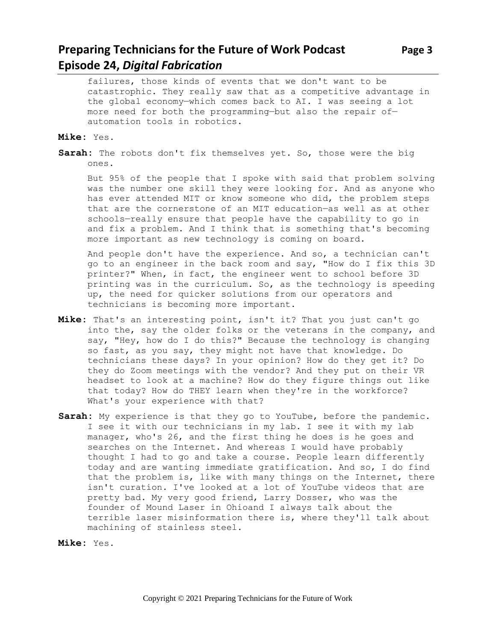# **Preparing Technicians for the Future of Work Podcast Page 3 Episode 24,** *Digital Fabrication*

failures, those kinds of events that we don't want to be catastrophic. They really saw that as a competitive advantage in the global economy—which comes back to AI. I was seeing a lot more need for both the programming—but also the repair of automation tools in robotics.

#### **Mike:** Yes.

**Sarah:** The robots don't fix themselves yet. So, those were the big ones.

But 95% of the people that I spoke with said that problem solving was the number one skill they were looking for. And as anyone who has ever attended MIT or know someone who did, the problem steps that are the cornerstone of an MIT education—as well as at other schools—really ensure that people have the capability to go in and fix a problem. And I think that is something that's becoming more important as new technology is coming on board.

And people don't have the experience. And so, a technician can't go to an engineer in the back room and say, "How do I fix this 3D printer?" When, in fact, the engineer went to school before 3D printing was in the curriculum. So, as the technology is speeding up, the need for quicker solutions from our operators and technicians is becoming more important.

- **Mike:** That's an interesting point, isn't it? That you just can't go into the, say the older folks or the veterans in the company, and say, "Hey, how do I do this?" Because the technology is changing so fast, as you say, they might not have that knowledge. Do technicians these days? In your opinion? How do they get it? Do they do Zoom meetings with the vendor? And they put on their VR headset to look at a machine? How do they figure things out like that today? How do THEY learn when they're in the workforce? What's your experience with that?
- **Sarah:** My experience is that they go to YouTube, before the pandemic. I see it with our technicians in my lab. I see it with my lab manager, who's 26, and the first thing he does is he goes and searches on the Internet. And whereas I would have probably thought I had to go and take a course. People learn differently today and are wanting immediate gratification. And so, I do find that the problem is, like with many things on the Internet, there isn't curation. I've looked at a lot of YouTube videos that are pretty bad. My very good friend, Larry Dosser, who was the founder of Mound Laser in Ohioand I always talk about the terrible laser misinformation there is, where they'll talk about machining of stainless steel.

**Mike:** Yes.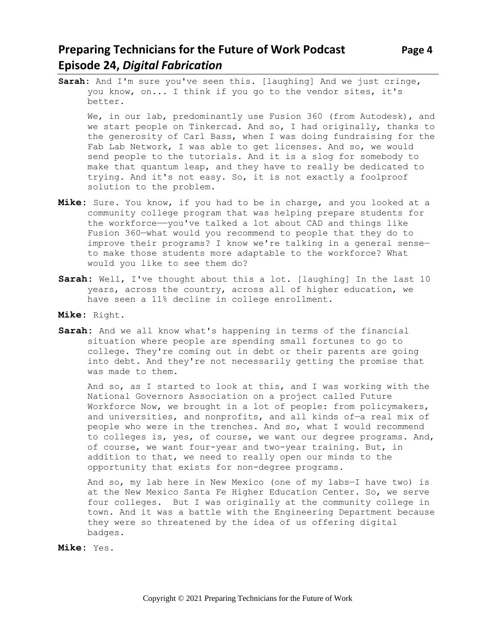# **Preparing Technicians for the Future of Work Podcast Page 4 Episode 24,** *Digital Fabrication*

**Sarah:** And I'm sure you've seen this. [laughing] And we just cringe, you know, on... I think if you go to the vendor sites, it's better.

We, in our lab, predominantly use Fusion 360 (from Autodesk), and we start people on Tinkercad. And so, I had originally, thanks to the generosity of Carl Bass, when I was doing fundraising for the Fab Lab Network, I was able to get licenses. And so, we would send people to the tutorials. And it is a slog for somebody to make that quantum leap, and they have to really be dedicated to trying. And it's not easy. So, it is not exactly a foolproof solution to the problem.

- **Mike:** Sure. You know, if you had to be in charge, and you looked at a community college program that was helping prepare students for the workforce——you've talked a lot about CAD and things like Fusion 360—what would you recommend to people that they do to improve their programs? I know we're talking in a general sense to make those students more adaptable to the workforce? What would you like to see them do?
- **Sarah:** Well, I've thought about this a lot. [laughing] In the last 10 years, across the country, across all of higher education, we have seen a 11% decline in college enrollment.
- **Mike:** Right.
- **Sarah:** And we all know what's happening in terms of the financial situation where people are spending small fortunes to go to college. They're coming out in debt or their parents are going into debt. And they're not necessarily getting the promise that was made to them.

And so, as I started to look at this, and I was working with the National Governors Association on a project called Future Workforce Now, we brought in a lot of people: from policymakers, and universities, and nonprofits, and all kinds of—a real mix of people who were in the trenches. And so, what I would recommend to colleges is, yes, of course, we want our degree programs. And, of course, we want four-year and two-year training. But, in addition to that, we need to really open our minds to the opportunity that exists for non-degree programs.

And so, my lab here in New Mexico (one of my labs—I have two) is at the New Mexico Santa Fe Higher Education Center. So, we serve four colleges. But I was originally at the community college in town. And it was a battle with the Engineering Department because they were so threatened by the idea of us offering digital badges.

**Mike:** Yes.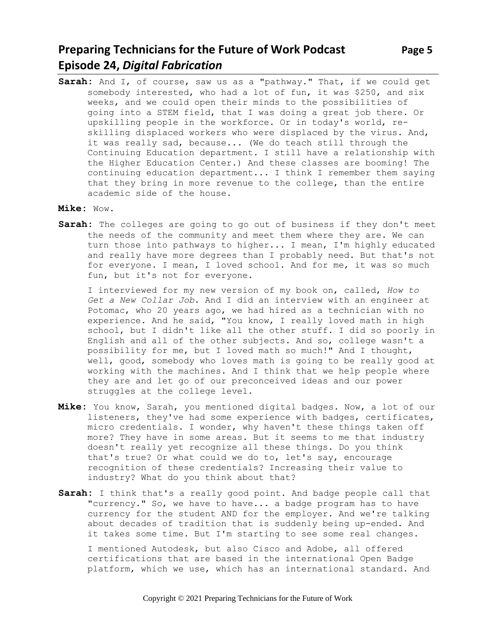# **Preparing Technicians for the Future of Work Podcast Page 5 Episode 24,** *Digital Fabrication*

**Sarah:** And I, of course, saw us as a "pathway." That, if we could get somebody interested, who had a lot of fun, it was \$250, and six weeks, and we could open their minds to the possibilities of going into a STEM field, that I was doing a great job there. Or upskilling people in the workforce. Or in today's world, reskilling displaced workers who were displaced by the virus. And, it was really sad, because... (We do teach still through the Continuing Education department. I still have a relationship with the Higher Education Center.) And these classes are booming! The continuing education department... I think I remember them saying that they bring in more revenue to the college, than the entire academic side of the house.

#### **Mike:** Wow.

**Sarah:** The colleges are going to go out of business if they don't meet the needs of the community and meet them where they are. We can turn those into pathways to higher... I mean, I'm highly educated and really have more degrees than I probably need. But that's not for everyone. I mean, I loved school. And for me, it was so much fun, but it's not for everyone.

I interviewed for my new version of my book on, called, *How to Get a New Collar Job*. And I did an interview with an engineer at Potomac, who 20 years ago, we had hired as a technician with no experience. And he said, "You know, I really loved math in high school, but I didn't like all the other stuff. I did so poorly in English and all of the other subjects. And so, college wasn't a possibility for me, but I loved math so much!" And I thought, well, good, somebody who loves math is going to be really good at working with the machines. And I think that we help people where they are and let go of our preconceived ideas and our power struggles at the college level.

- **Mike:** You know, Sarah, you mentioned digital badges. Now, a lot of our listeners, they've had some experience with badges, certificates, micro credentials. I wonder, why haven't these things taken off more? They have in some areas. But it seems to me that industry doesn't really yet recognize all these things. Do you think that's true? Or what could we do to, let's say, encourage recognition of these credentials? Increasing their value to industry? What do you think about that?
- **Sarah:** I think that's a really good point. And badge people call that "currency." So, we have to have... a badge program has to have currency for the student AND for the employer. And we're talking about decades of tradition that is suddenly being up-ended. And it takes some time. But I'm starting to see some real changes.

I mentioned Autodesk, but also Cisco and Adobe, all offered certifications that are based in the international Open Badge platform, which we use, which has an international standard. And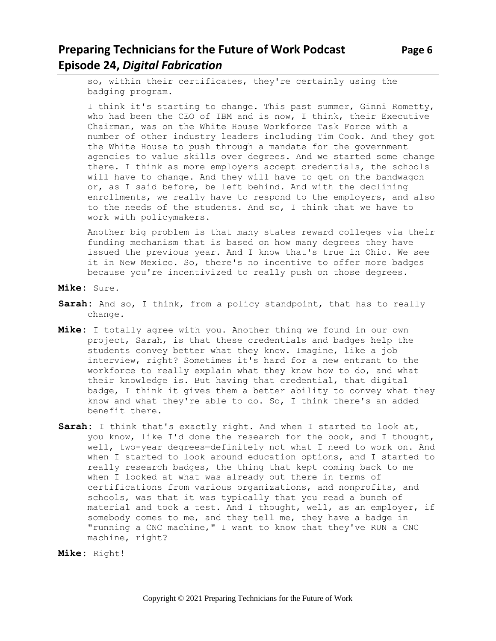# **Preparing Technicians for the Future of Work Podcast** Page 6 **Episode 24,** *Digital Fabrication*

so, within their certificates, they're certainly using the badging program.

I think it's starting to change. This past summer, Ginni Rometty, who had been the CEO of IBM and is now, I think, their Executive Chairman, was on the White House Workforce Task Force with a number of other industry leaders including Tim Cook. And they got the White House to push through a mandate for the government agencies to value skills over degrees. And we started some change there. I think as more employers accept credentials, the schools will have to change. And they will have to get on the bandwagon or, as I said before, be left behind. And with the declining enrollments, we really have to respond to the employers, and also to the needs of the students. And so, I think that we have to work with policymakers.

Another big problem is that many states reward colleges via their funding mechanism that is based on how many degrees they have issued the previous year. And I know that's true in Ohio. We see it in New Mexico. So, there's no incentive to offer more badges because you're incentivized to really push on those degrees.

- **Mike:** Sure.
- **Sarah:** And so, I think, from a policy standpoint, that has to really change.
- **Mike:** I totally agree with you. Another thing we found in our own project, Sarah, is that these credentials and badges help the students convey better what they know. Imagine, like a job interview, right? Sometimes it's hard for a new entrant to the workforce to really explain what they know how to do, and what their knowledge is. But having that credential, that digital badge, I think it gives them a better ability to convey what they know and what they're able to do. So, I think there's an added benefit there.
- **Sarah:** I think that's exactly right. And when I started to look at, you know, like I'd done the research for the book, and I thought, well, two-year degrees—definitely not what I need to work on. And when I started to look around education options, and I started to really research badges, the thing that kept coming back to me when I looked at what was already out there in terms of certifications from various organizations, and nonprofits, and schools, was that it was typically that you read a bunch of material and took a test. And I thought, well, as an employer, if somebody comes to me, and they tell me, they have a badge in "running a CNC machine," I want to know that they've RUN a CNC machine, right?

**Mike:** Right!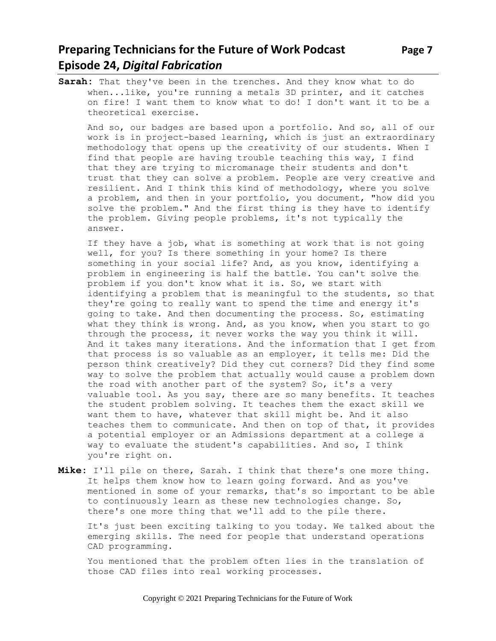# **Preparing Technicians for the Future of Work Podcast Page 7 Episode 24,** *Digital Fabrication*

**Sarah:** That they've been in the trenches. And they know what to do when...like, you're running a metals 3D printer, and it catches on fire! I want them to know what to do! I don't want it to be a theoretical exercise.

And so, our badges are based upon a portfolio. And so, all of our work is in project-based learning, which is just an extraordinary methodology that opens up the creativity of our students. When I find that people are having trouble teaching this way, I find that they are trying to micromanage their students and don't trust that they can solve a problem. People are very creative and resilient. And I think this kind of methodology, where you solve a problem, and then in your portfolio, you document, "how did you solve the problem." And the first thing is they have to identify the problem. Giving people problems, it's not typically the answer.

If they have a job, what is something at work that is not going well, for you? Is there something in your home? Is there something in your social life? And, as you know, identifying a problem in engineering is half the battle. You can't solve the problem if you don't know what it is. So, we start with identifying a problem that is meaningful to the students, so that they're going to really want to spend the time and energy it's going to take. And then documenting the process. So, estimating what they think is wrong. And, as you know, when you start to go through the process, it never works the way you think it will. And it takes many iterations. And the information that I get from that process is so valuable as an employer, it tells me: Did the person think creatively? Did they cut corners? Did they find some way to solve the problem that actually would cause a problem down the road with another part of the system? So, it's a very valuable tool. As you say, there are so many benefits. It teaches the student problem solving. It teaches them the exact skill we want them to have, whatever that skill might be. And it also teaches them to communicate. And then on top of that, it provides a potential employer or an Admissions department at a college a way to evaluate the student's capabilities. And so, I think you're right on.

**Mike:** I'll pile on there, Sarah. I think that there's one more thing. It helps them know how to learn going forward. And as you've mentioned in some of your remarks, that's so important to be able to continuously learn as these new technologies change. So, there's one more thing that we'll add to the pile there.

It's just been exciting talking to you today. We talked about the emerging skills. The need for people that understand operations CAD programming.

You mentioned that the problem often lies in the translation of those CAD files into real working processes.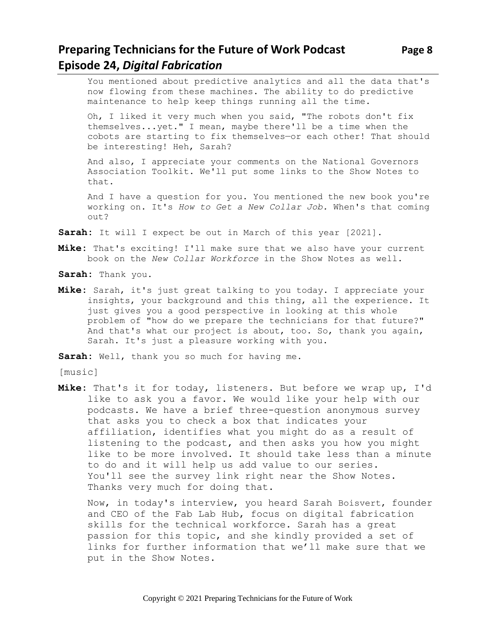# **Preparing Technicians for the Future of Work Podcast** Page 8 **Episode 24,** *Digital Fabrication*

You mentioned about predictive analytics and all the data that's now flowing from these machines. The ability to do predictive maintenance to help keep things running all the time.

Oh, I liked it very much when you said, "The robots don't fix themselves...yet." I mean, maybe there'll be a time when the cobots are starting to fix themselves—or each other! That should be interesting! Heh, Sarah?

And also, I appreciate your comments on the National Governors Association Toolkit. We'll put some links to the Show Notes to that.

And I have a question for you. You mentioned the new book you're working on. It's *How to Get a New Collar Job.* When's that coming out?

**Sarah:** It will I expect be out in March of this year [2021].

**Mike:** That's exciting! I'll make sure that we also have your current book on the *New Collar Workforce* in the Show Notes as well.

Sarah: Thank you.

**Mike:** Sarah, it's just great talking to you today. I appreciate your insights, your background and this thing, all the experience. It just gives you a good perspective in looking at this whole problem of "how do we prepare the technicians for that future?" And that's what our project is about, too. So, thank you again, Sarah. It's just a pleasure working with you.

**Sarah:** Well, thank you so much for having me.

[music]

**Mike:** That's it for today, listeners. But before we wrap up, I'd like to ask you a favor. We would like your help with our podcasts. We have a brief three-question anonymous survey that asks you to check a box that indicates your affiliation, identifies what you might do as a result of listening to the podcast, and then asks you how you might like to be more involved. It should take less than a minute to do and it will help us add value to our series. You'll see the survey link right near the Show Notes. Thanks very much for doing that.

Now, in today's interview, you heard Sarah Boisvert, founder and CEO of the Fab Lab Hub, focus on digital fabrication skills for the technical workforce. Sarah has a great passion for this topic, and she kindly provided a set of links for further information that we'll make sure that we put in the Show Notes.